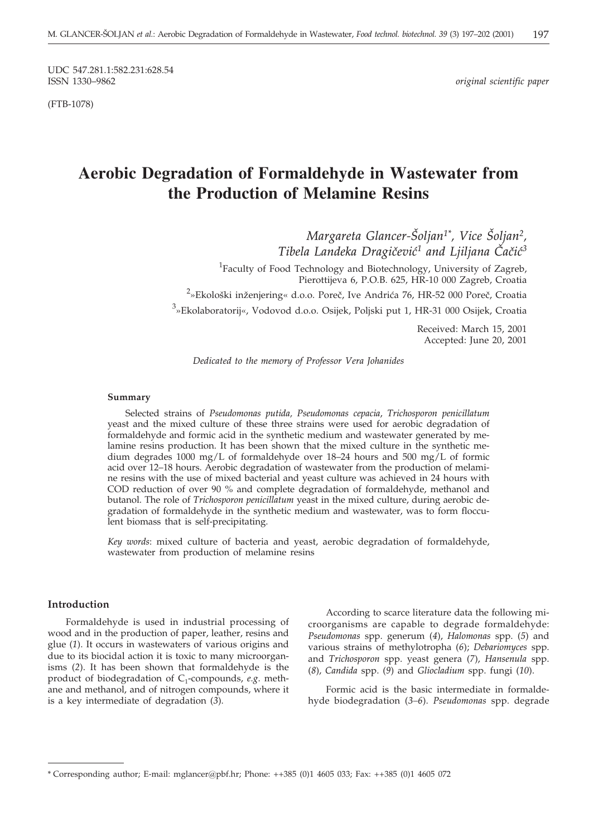UDC 547.281.1:582.231:628.54

(FTB-1078)

 $original$  scientific paper

# **Aerobic Degradation of Formaldehyde in Wastewater from the Production of Melamine Resins**

*Margareta Glancer-Šoljan<sup>1\*</sup>, Vice Šoljan<sup>2</sup>, Tibela Landeka Dragičević<sup>1</sup> and Ljiljana Čačić<sup>3</sup>* 

<sup>1</sup>Faculty of Food Technology and Biotechnology, University of Zagreb, Pierottijeva 6, P.O.B. 625, HR-10 000 Zagreb, Croatia

<sup>2</sup>»Ekološki inženjering« d.o.o. Poreč, Ive Andrića 76, HR-52 000 Poreč, Croatia <sup>3</sup>»Ekolaboratorij«, Vodovod d.o.o. Osijek, Poljski put 1, HR-31 000 Osijek, Croatia

> Received: March 15, 2001 Accepted: June 20, 2001

*Dedicated to the memory of Professor Vera Johanides*

### **Summary**

Selected strains of *Pseudomonas putida, Pseudomonas cepacia*, *Trichosporon penicillatum* yeast and the mixed culture of these three strains were used for aerobic degradation of formaldehyde and formic acid in the synthetic medium and wastewater generated by melamine resins production. It has been shown that the mixed culture in the synthetic medium degrades 1000 mg/L of formaldehyde over 18–24 hours and 500 mg/L of formic acid over 12–18 hours. Aerobic degradation of wastewater from the production of melamine resins with the use of mixed bacterial and yeast culture was achieved in 24 hours with COD reduction of over 90 % and complete degradation of formaldehyde, methanol and butanol. The role of *Trichosporon penicillatum* yeast in the mixed culture, during aerobic degradation of formaldehyde in the synthetic medium and wastewater, was to form flocculent biomass that is self-precipitating.

*Key words*: mixed culture of bacteria and yeast, aerobic degradation of formaldehyde, wastewater from production of melamine resins

## **Introduction**

Formaldehyde is used in industrial processing of wood and in the production of paper, leather, resins and glue (*1*). It occurs in wastewaters of various origins and due to its biocidal action it is toxic to many microorganisms (*2*). It has been shown that formaldehyde is the product of biodegradation of C<sub>1</sub>-compounds, *e.g.* methane and methanol, and of nitrogen compounds, where it is a key intermediate of degradation (*3*).

According to scarce literature data the following microorganisms are capable to degrade formaldehyde: *Pseudomonas* spp. generum (*4*), *Halomonas* spp. (*5*) and various strains of methylotropha (*6*); *Debariomyces* spp. and *Trichosporon* spp. yeast genera (*7*), *Hansenula* spp. (*8*), *Candida* spp. (*9*) and *Gliocladium* spp. fungi (*10*).

Formic acid is the basic intermediate in formaldehyde biodegradation (*3–6*). *Pseudomonas* spp. degrade

<sup>\*</sup> Corresponding author; E-mail: mglancer*@*pbf.hr; Phone: ++385 (0)1 4605 033; Fax: ++385 (0)1 4605 072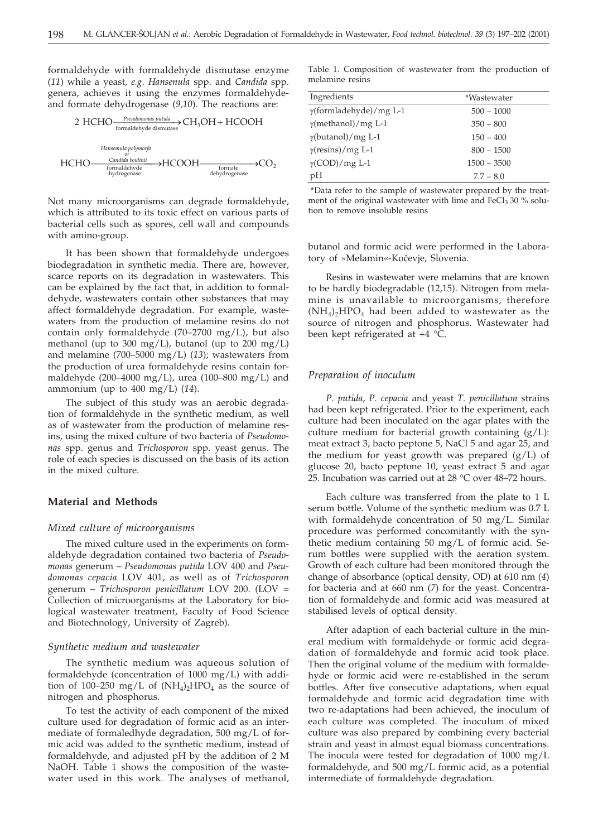formaldehyde with formaldehyde dismutase enzyme (*11*) while a yeast, *e.g*. *Hansenula* spp. and *Candida* spp. genera, achieves it using the enzymes formaldehydeand formate dehydrogenase (*9,10*). The reactions are:

$$
2\text{ HCHO}\frac{Pseudomonas\text{ putida}}{\text{formaldehyde dismutase}}\text{CH}_{3}\text{OH} + \text{HCOOH}
$$
\n
$$
\text{Hansemula\text{ polymorfa}}\text{HCHO}\frac{\text{Candida\text{ biodinii}}}{\text{formaldehyde}}\text{HCOOH}\frac{\text{Comada\text{ biodinii}}}{\text{formate}}\text{O}_2
$$
\n
$$
\text{HCHO}\frac{\text{Candida\text{ biodinii}}}{\text{hydrogenase}}\text{O}_2
$$

Not many microorganisms can degrade formaldehyde, which is attributed to its toxic effect on various parts of bacterial cells such as spores, cell wall and compounds with amino-group.

It has been shown that formaldehyde undergoes biodegradation in synthetic media. There are, however, scarce reports on its degradation in wastewaters. This can be explained by the fact that, in addition to formaldehyde, wastewaters contain other substances that may affect formaldehyde degradation. For example, wastewaters from the production of melamine resins do not contain only formaldehyde (70–2700 mg/L), but also methanol (up to 300 mg/L), butanol (up to 200 mg/L) and melamine (700–5000 mg/L) (*13*); wastewaters from the production of urea formaldehyde resins contain formaldehyde (200–4000 mg/L), urea (100–800 mg/L) and ammonium (up to 400 mg/L) (*14*).

The subject of this study was an aerobic degradation of formaldehyde in the synthetic medium, as well as of wastewater from the production of melamine resins, using the mixed culture of two bacteria of *Pseudomonas* spp. genus and *Trichosporon* spp. yeast genus. The role of each species is discussed on the basis of its action in the mixed culture.

#### **Material and Methods**

## *Mixed culture of microorganisms*

The mixed culture used in the experiments on formaldehyde degradation contained two bacteria of *Pseudomonas* generum – *Pseudomonas putida* LOV 400 and *Pseudomonas cepacia* LOV 401, as well as of *Trichosporon* generum – *Trichosporon penicillatum* LOV 200. (LOV = Collection of microorganisms at the Laboratory for biological wastewater treatment, Faculty of Food Science and Biotechnology, University of Zagreb).

## *Synthetic medium and wastewater*

The synthetic medium was aqueous solution of formaldehyde (concentration of 1000 mg/L) with addition of 100–250 mg/L of  $(NH_4)_2HPO_4$  as the source of nitrogen and phosphorus.

To test the activity of each component of the mixed culture used for degradation of formic acid as an intermediate of formaledhyde degradation, 500 mg/L of formic acid was added to the synthetic medium, instead of formaldehyde, and adjusted pH by the addition of 2 M NaOH. Table 1 shows the composition of the wastewater used in this work. The analyses of methanol,

Table 1. Composition of wastewater from the production of melamine resins

| Ingredients                    | *Wastewater   |
|--------------------------------|---------------|
| $\gamma$ (formladehyde)/mg L-1 | $500 - 1000$  |
| $\gamma$ (methanol)/mg L-1     | $350 - 800$   |
| $\gamma$ (butanol)/mg L-1      | $150 - 400$   |
| $\gamma$ (resins)/mg L-1       | $800 - 1500$  |
| $\gamma$ (COD)/mg L-1          | $1500 - 3500$ |
| pH                             | $7.7 - 8.0$   |

\*Data refer to the sample of wastewater prepared by the treatment of the original wastewater with lime and FeCl<sub>3</sub> 30 % solution to remove insoluble resins

butanol and formic acid were performed in the Laboratory of »Melamin«-Kočevje, Slovenia.

Resins in wastewater were melamins that are known to be hardly biodegradable (12,15). Nitrogen from melamine is unavailable to microorganisms, therefore  $(NH_4)$ <sub>2</sub>HPO<sub>4</sub> had been added to wastewater as the source of nitrogen and phosphorus. Wastewater had been kept refrigerated at +4 °C.

## *Preparation of inoculum*

*P. putida*, *P. cepacia* and yeast *T. penicillatum* strains had been kept refrigerated. Prior to the experiment, each culture had been inoculated on the agar plates with the culture medium for bacterial growth containing (g/L): meat extract 3, bacto peptone 5, NaCl 5 and agar 25, and the medium for yeast growth was prepared (g/L) of glucose 20, bacto peptone 10, yeast extract 5 and agar 25. Incubation was carried out at 28 °C over 48–72 hours.

Each culture was transferred from the plate to 1 L serum bottle. Volume of the synthetic medium was 0.7 L with formaldehyde concentration of 50 mg/L. Similar procedure was performed concomitantly with the synthetic medium containing 50 mg/L of formic acid. Serum bottles were supplied with the aeration system. Growth of each culture had been monitored through the change of absorbance (optical density, OD) at 610 nm (*4*) for bacteria and at 660 nm (*7*) for the yeast. Concentration of formaldehyde and formic acid was measured at stabilised levels of optical density.

After adaption of each bacterial culture in the mineral medium with formaldehyde or formic acid degradation of formaldehyde and formic acid took place. Then the original volume of the medium with formaldehyde or formic acid were re-established in the serum bottles. After five consecutive adaptations, when equal formaldehyde and formic acid degradation time with two re-adaptations had been achieved, the inoculum of each culture was completed. The inoculum of mixed culture was also prepared by combining every bacterial strain and yeast in almost equal biomass concentrations. The inocula were tested for degradation of 1000 mg/L formaldehyde, and 500 mg/L formic acid, as a potential intermediate of formaldehyde degradation.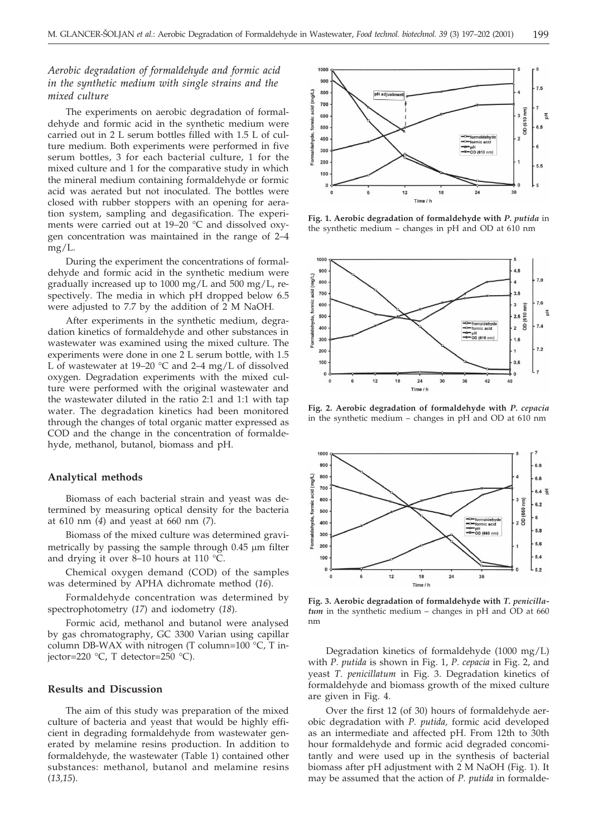## *Aerobic degradation of formaldehyde and formic acid in the synthetic medium with single strains and the mixed culture*

The experiments on aerobic degradation of formaldehyde and formic acid in the synthetic medium were carried out in 2 L serum bottles filled with 1.5 L of culture medium. Both experiments were performed in five serum bottles, 3 for each bacterial culture, 1 for the mixed culture and 1 for the comparative study in which the mineral medium containing formaldehyde or formic acid was aerated but not inoculated. The bottles were closed with rubber stoppers with an opening for aeration system, sampling and degasification. The experiments were carried out at 19–20 °C and dissolved oxygen concentration was maintained in the range of 2–4 mg/L.

During the experiment the concentrations of formaldehyde and formic acid in the synthetic medium were gradually increased up to 1000 mg/L and 500 mg/L, respectively. The media in which pH dropped below 6.5 were adjusted to 7.7 by the addition of 2 M NaOH.

After experiments in the synthetic medium, degradation kinetics of formaldehyde and other substances in wastewater was examined using the mixed culture. The experiments were done in one 2 L serum bottle, with 1.5 L of wastewater at 19–20 °C and 2–4 mg/L of dissolved oxygen. Degradation experiments with the mixed culture were performed with the original wastewater and the wastewater diluted in the ratio 2:1 and 1:1 with tap water. The degradation kinetics had been monitored through the changes of total organic matter expressed as COD and the change in the concentration of formaldehyde, methanol, butanol, biomass and pH.

## **Analytical methods**

Biomass of each bacterial strain and yeast was determined by measuring optical density for the bacteria at 610 nm (*4*) and yeast at 660 nm (*7*).

Biomass of the mixed culture was determined gravimetrically by passing the sample through  $0.45 \mu m$  filter and drying it over 8–10 hours at 110 °C.

Chemical oxygen demand (COD) of the samples was determined by APHA dichromate method (*16*).

Formaldehyde concentration was determined by spectrophotometry (*17*) and iodometry (*18*).

Formic acid, methanol and butanol were analysed by gas chromatography, GC 3300 Varian using capillar column DB-WAX with nitrogen (T column=100 °C, T injector=220 °C, T detector=250 °C).

## **Results and Discussion**

The aim of this study was preparation of the mixed culture of bacteria and yeast that would be highly efficient in degrading formaldehyde from wastewater generated by melamine resins production. In addition to formaldehyde, the wastewater (Table 1) contained other substances: methanol, butanol and melamine resins (*13,15*).



**Fig. 1. Aerobic degradation of formaldehyde with** *P. putida* in the synthetic medium – changes in pH and OD at 610 nm



**Fig. 2. Aerobic degradation of formaldehyde with** *P. cepacia* in the synthetic medium – changes in pH and OD at 610 nm



**Fig. 3. Aerobic degradation of formaldehyde with** *T. penicillatum* in the synthetic medium – changes in pH and OD at 660 nm

Degradation kinetics of formaldehyde (1000 mg/L) with *P. putida* is shown in Fig. 1, *P. cepacia* in Fig. 2, and yeast *T. penicillatum* in Fig. 3. Degradation kinetics of formaldehyde and biomass growth of the mixed culture are given in Fig. 4.

Over the first 12 (of 30) hours of formaldehyde aerobic degradation with *P. putida,* formic acid developed as an intermediate and affected pH. From 12th to 30th hour formaldehyde and formic acid degraded concomitantly and were used up in the synthesis of bacterial biomass after pH adjustment with 2 M NaOH (Fig. 1). It may be assumed that the action of *P. putida* in formalde-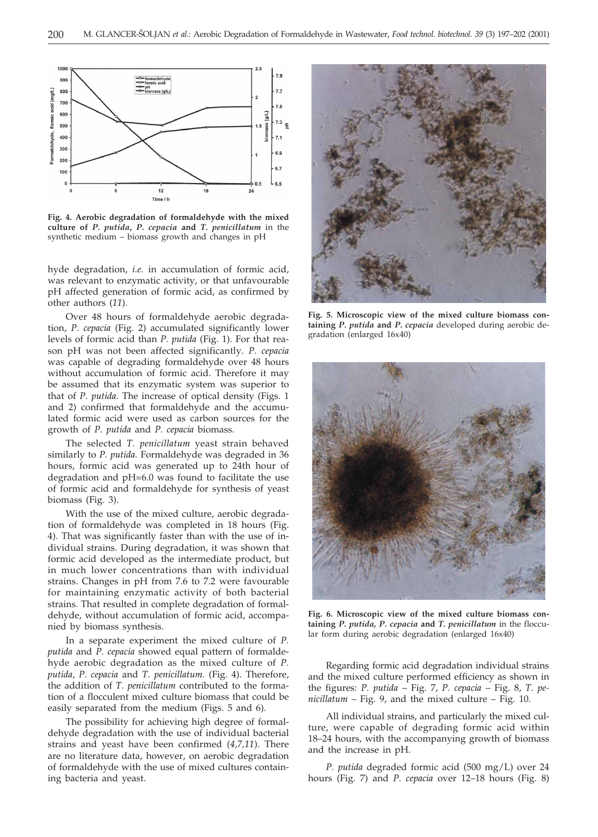

**Fig. 4. Aerobic degradation of formaldehyde with the mixed culture of** *P. putida***,** *P. cepacia* **and** *T. penicillatum* in the synthetic medium – biomass growth and changes in pH

hyde degradation, *i.e.* in accumulation of formic acid, was relevant to enzymatic activity, or that unfavourable pH affected generation of formic acid, as confirmed by other authors (*11*).

Over 48 hours of formaldehyde aerobic degradation, *P. cepacia* (Fig. 2) accumulated significantly lower levels of formic acid than *P. putida* (Fig. 1). For that reason pH was not been affected significantly. *P. cepacia* was capable of degrading formaldehyde over 48 hours without accumulation of formic acid. Therefore it may be assumed that its enzymatic system was superior to that of *P. putida*. The increase of optical density (Figs. 1 and 2) confirmed that formaldehyde and the accumulated formic acid were used as carbon sources for the growth of *P. putida* and *P. cepacia* biomass.

The selected *T. penicillatum* yeast strain behaved similarly to *P. putida.* Formaldehyde was degraded in 36 hours, formic acid was generated up to 24th hour of degradation and pH=6.0 was found to facilitate the use of formic acid and formaldehyde for synthesis of yeast biomass (Fig. 3).

With the use of the mixed culture, aerobic degradation of formaldehyde was completed in 18 hours (Fig. 4). That was significantly faster than with the use of individual strains. During degradation, it was shown that formic acid developed as the intermediate product, but in much lower concentrations than with individual strains. Changes in pH from 7.6 to 7.2 were favourable for maintaining enzymatic activity of both bacterial strains. That resulted in complete degradation of formaldehyde, without accumulation of formic acid, accompanied by biomass synthesis.

In a separate experiment the mixed culture of *P. putida* and *P. cepacia* showed equal pattern of formaldehyde aerobic degradation as the mixed culture of *P. putida*, *P. cepacia* and *T. penicillatum.* (Fig. 4). Therefore, the addition of *T. penicillatum* contributed to the formation of a flocculent mixed culture biomass that could be easily separated from the medium (Figs. 5 and 6).

The possibility for achieving high degree of formaldehyde degradation with the use of individual bacterial strains and yeast have been confirmed (*4,7,11*). There are no literature data, however, on aerobic degradation of formaldehyde with the use of mixed cultures containing bacteria and yeast.



**Fig. 5. Microscopic view of the mixed culture biomass containing** *P. putida* **and** *P. cepacia* developed during aerobic degradation (enlarged 16x40)



**Fig. 6. Microscopic view of the mixed culture biomass containing** *P. putida, P. cepacia* **and** *T. penicillatum* in the floccular form during aerobic degradation (enlarged 16x40)

Regarding formic acid degradation individual strains and the mixed culture performed efficiency as shown in the figures: *P. putida* – Fig. 7, *P. cepacia* – Fig. 8, *T. penicillatum* – Fig. 9, and the mixed culture – Fig. 10.

All individual strains, and particularly the mixed culture, were capable of degrading formic acid within 18–24 hours, with the accompanying growth of biomass and the increase in pH.

*P. putida* degraded formic acid (500 mg/L) over 24 hours (Fig. 7) and *P. cepacia* over 12–18 hours (Fig. 8)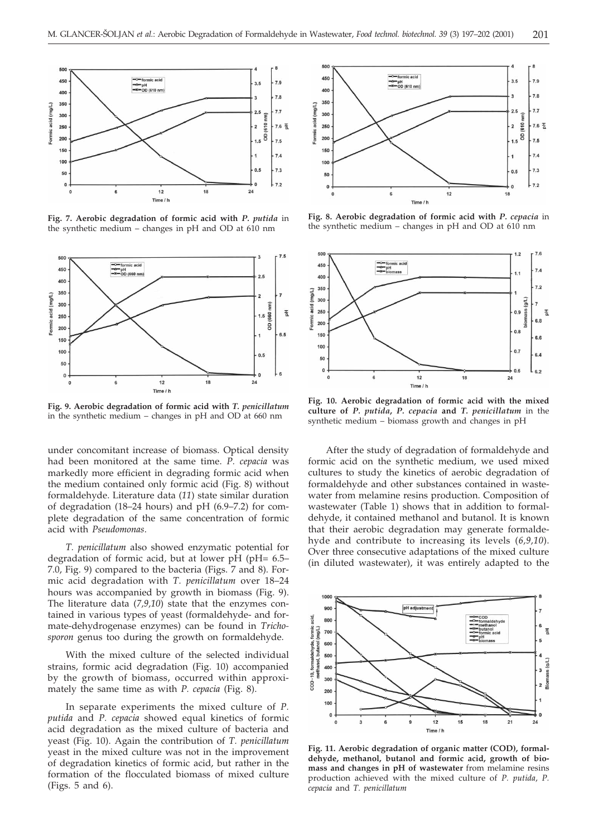

**Fig. 7. Aerobic degradation of formic acid with** *P. putida* in the synthetic medium – changes in pH and OD at 610 nm



**Fig. 9. Aerobic degradation of formic acid with** *T. penicillatum* in the synthetic medium – changes in pH and OD at 660 nm

under concomitant increase of biomass. Optical density had been monitored at the same time. *P. cepacia* was markedly more efficient in degrading formic acid when the medium contained only formic acid (Fig. 8) without formaldehyde. Literature data (*11*) state similar duration of degradation (18–24 hours) and pH (6.9–7.2) for complete degradation of the same concentration of formic acid with *Pseudomonas*.

*T. penicillatum* also showed enzymatic potential for degradation of formic acid, but at lower pH (pH= 6.5– 7.0, Fig. 9) compared to the bacteria (Figs. 7 and 8). Formic acid degradation with *T. penicillatum* over 18–24 hours was accompanied by growth in biomass (Fig. 9). The literature data (*7,9,10*) state that the enzymes contained in various types of yeast (formaldehyde- and formate-dehydrogenase enzymes) can be found in *Trichosporon* genus too during the growth on formaldehyde.

With the mixed culture of the selected individual strains, formic acid degradation (Fig. 10) accompanied by the growth of biomass, occurred within approximately the same time as with *P. cepacia* (Fig. 8).

In separate experiments the mixed culture of *P. putida* and *P. cepacia* showed equal kinetics of formic acid degradation as the mixed culture of bacteria and yeast (Fig. 10). Again the contribution of *T. penicillatum* yeast in the mixed culture was not in the improvement of degradation kinetics of formic acid, but rather in the formation of the flocculated biomass of mixed culture (Figs. 5 and 6).



**Fig. 8. Aerobic degradation of formic acid with** *P. cepacia* in the synthetic medium – changes in pH and OD at 610 nm



**Fig. 10. Aerobic degradation of formic acid with the mixed culture of** *P. putida***,** *P. cepacia* **and** *T. penicillatum* in the synthetic medium – biomass growth and changes in pH

After the study of degradation of formaldehyde and formic acid on the synthetic medium, we used mixed cultures to study the kinetics of aerobic degradation of formaldehyde and other substances contained in wastewater from melamine resins production. Composition of wastewater (Table 1) shows that in addition to formaldehyde, it contained methanol and butanol. It is known that their aerobic degradation may generate formaldehyde and contribute to increasing its levels (*6,9,10*). Over three consecutive adaptations of the mixed culture (in diluted wastewater), it was entirely adapted to the



**Fig. 11. Aerobic degradation of organic matter (COD), formaldehyde, methanol, butanol and formic acid, growth of biomass and changes in pH of wastewater** from melamine resins production achieved with the mixed culture of *P. putida*, *P. cepacia* and *T. penicillatum*